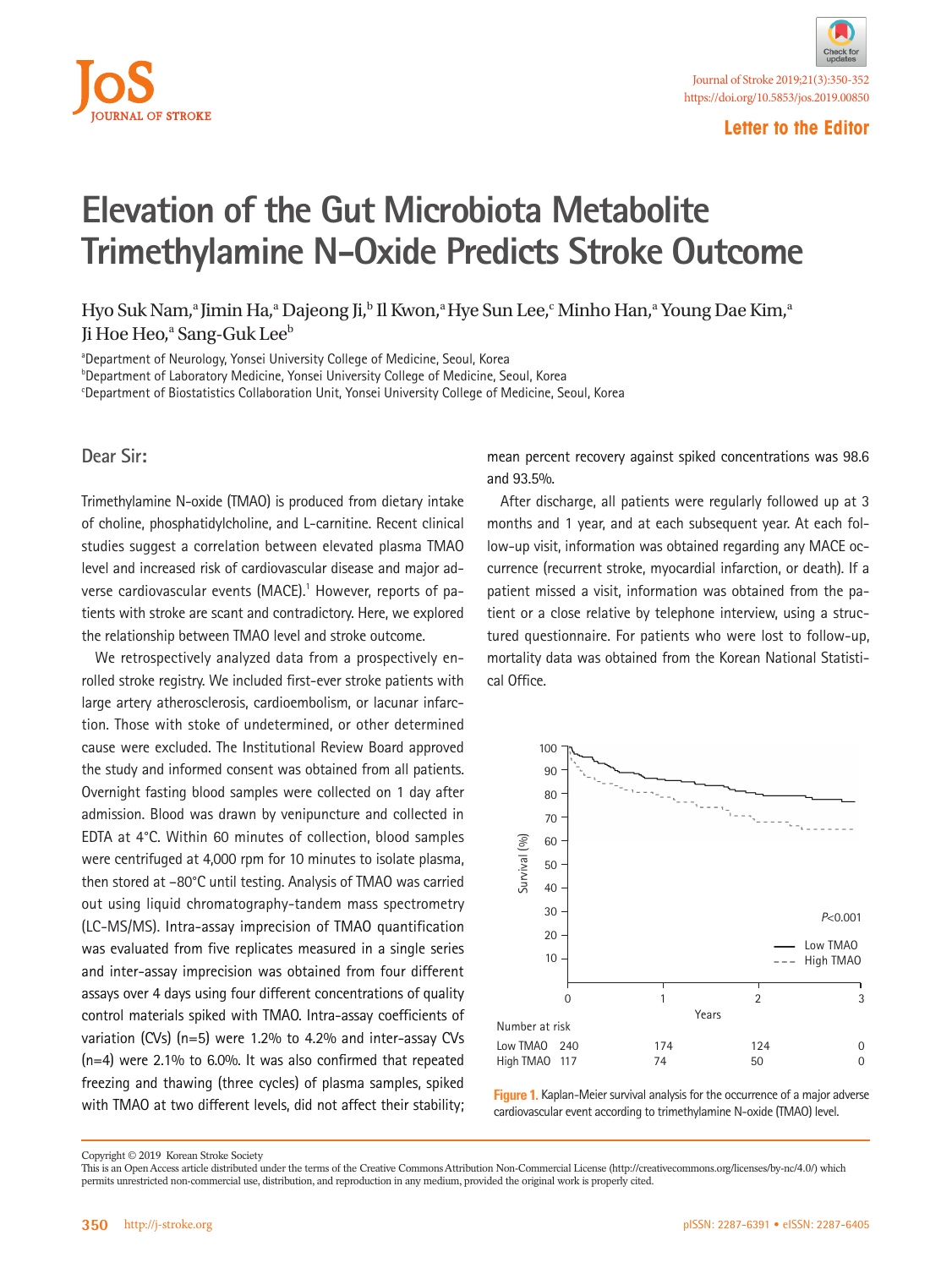

## **Elevation of the Gut Microbiota Metabolite Trimethylamine N-Oxide Predicts Stroke Outcome**

Hyo Suk Nam,<sup>a</sup> Jimin Ha,<sup>a</sup> Dajeong Ji,<sup>b</sup> Il Kwon,<sup>a</sup> Hye Sun Lee,<sup>c</sup> Minho Han,<sup>a</sup> Young Dae Kim,<sup>a</sup> Ji Hoe Heo,<sup>a</sup> Sang-Guk Lee<sup>b</sup>

aDepartment of Neurology, Yonsei University College of Medicine, Seoul, Korea <sup>b</sup>Department of Laboratory Medicine, Yonsei University College of Medicine, Seoul, Korea c Department of Biostatistics Collaboration Unit, Yonsei University College of Medicine, Seoul, Korea

**Dear Sir:**

Trimethylamine N-oxide (TMAO) is produced from dietary intake of choline, phosphatidylcholine, and L-carnitine. Recent clinical studies suggest a correlation between elevated plasma TMAO level and increased risk of cardiovascular disease and major adverse cardiovascular events (MACE).<sup>1</sup> However, reports of patients with stroke are scant and contradictory. Here, we explored the relationship between TMAO level and stroke outcome.

We retrospectively analyzed data from a prospectively enrolled stroke registry. We included first-ever stroke patients with large artery atherosclerosis, cardioembolism, or lacunar infarction. Those with stoke of undetermined, or other determined cause were excluded. The Institutional Review Board approved the study and informed consent was obtained from all patients. Overnight fasting blood samples were collected on 1 day after admission. Blood was drawn by venipuncture and collected in EDTA at 4°C. Within 60 minutes of collection, blood samples were centrifuged at 4,000 rpm for 10 minutes to isolate plasma, then stored at –80°C until testing. Analysis of TMAO was carried out using liquid chromatography-tandem mass spectrometry (LC-MS/MS). Intra-assay imprecision of TMAO quantification was evaluated from five replicates measured in a single series and inter-assay imprecision was obtained from four different assays over 4 days using four different concentrations of quality control materials spiked with TMAO. Intra-assay coefficients of variation (CVs) (n=5) were 1.2% to 4.2% and inter-assay CVs (n=4) were 2.1% to 6.0%. It was also confirmed that repeated freezing and thawing (three cycles) of plasma samples, spiked with TMAO at two different levels, did not affect their stability; mean percent recovery against spiked concentrations was 98.6 and 93.5%.

After discharge, all patients were regularly followed up at 3 months and 1 year, and at each subsequent year. At each follow-up visit, information was obtained regarding any MACE occurrence (recurrent stroke, myocardial infarction, or death). If a patient missed a visit, information was obtained from the patient or a close relative by telephone interview, using a structured questionnaire. For patients who were lost to follow-up, mortality data was obtained from the Korean National Statistical Office.



**Figure 1.** Kaplan-Meier survival analysis for the occurrence of a major adverse cardiovascular event according to trimethylamine N-oxide (TMAO) level.

Copyright © 2019 Korean Stroke Society

This is an Open Access article distributed under the terms of the Creative Commons Attribution Non-Commercial License (http://creativecommons.org/licenses/by-nc/4.0/) which permits unrestricted non-commercial use, distribution, and reproduction in any medium, provided the original work is properly cited.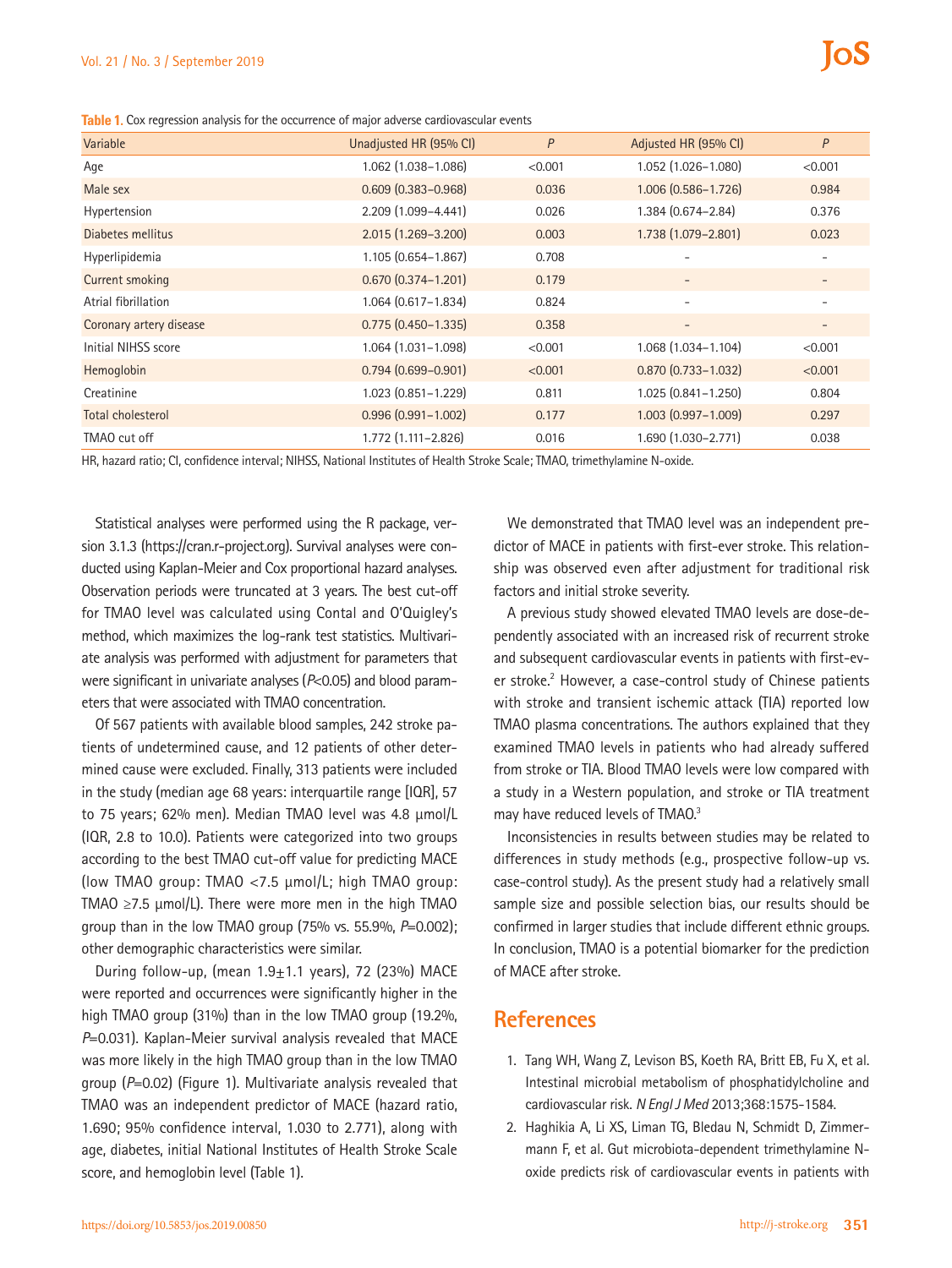**Table 1.** Cox regression analysis for the occurrence of major adverse cardiovascular events

| Variable                | Unadjusted HR (95% CI)    | P       | Adjusted HR (95% CI)     | P                        |
|-------------------------|---------------------------|---------|--------------------------|--------------------------|
| Age                     | 1.062 (1.038-1.086)       | < 0.001 | 1.052 (1.026-1.080)      | < 0.001                  |
| Male sex                | $0.609(0.383 - 0.968)$    | 0.036   | 1.006 (0.586-1.726)      | 0.984                    |
| Hypertension            | 2.209 (1.099-4.441)       | 0.026   | 1.384 (0.674-2.84)       | 0.376                    |
| Diabetes mellitus       | $2.015(1.269 - 3.200)$    | 0.003   | 1.738 (1.079-2.801)      | 0.023                    |
| Hyperlipidemia          | $1.105(0.654 - 1.867)$    | 0.708   | $\overline{\phantom{0}}$ | $\overline{\phantom{a}}$ |
| <b>Current smoking</b>  | $0.670(0.374 - 1.201)$    | 0.179   | $\overline{\phantom{a}}$ |                          |
| Atrial fibrillation     | $1.064$ $(0.617 - 1.834)$ | 0.824   | $\overline{\phantom{a}}$ | $\overline{\phantom{a}}$ |
| Coronary artery disease | $0.775(0.450 - 1.335)$    | 0.358   | $\overline{\phantom{a}}$ | $\overline{\phantom{a}}$ |
| Initial NIHSS score     | $1.064$ $(1.031 - 1.098)$ | < 0.001 | 1.068 (1.034-1.104)      | < 0.001                  |
| Hemoglobin              | $0.794(0.699 - 0.901)$    | < 0.001 | $0.870(0.733 - 1.032)$   | < 0.001                  |
| Creatinine              | $1.023$ $(0.851 - 1.229)$ | 0.811   | $1.025(0.841 - 1.250)$   | 0.804                    |
| Total cholesterol       | $0.996(0.991 - 1.002)$    | 0.177   | $1.003(0.997 - 1.009)$   | 0.297                    |
| TMAO cut off            | 1.772 (1.111-2.826)       | 0.016   | 1.690 (1.030-2.771)      | 0.038                    |

HR, hazard ratio; CI, confidence interval; NIHSS, National Institutes of Health Stroke Scale; TMAO, trimethylamine N-oxide.

Statistical analyses were performed using the R package, version 3.1.3 (https://cran.r-project.org). Survival analyses were conducted using Kaplan-Meier and Cox proportional hazard analyses. Observation periods were truncated at 3 years. The best cut-off for TMAO level was calculated using Contal and O'Quigley's method, which maximizes the log-rank test statistics. Multivariate analysis was performed with adjustment for parameters that were significant in univariate analyses (*P*<0.05) and blood parameters that were associated with TMAO concentration.

Of 567 patients with available blood samples, 242 stroke patients of undetermined cause, and 12 patients of other determined cause were excluded. Finally, 313 patients were included in the study (median age 68 years: interquartile range [IQR], 57 to 75 years; 62% men). Median TMAO level was 4.8 µmol/L (IQR, 2.8 to 10.0). Patients were categorized into two groups according to the best TMAO cut-off value for predicting MACE (low TMAO group: TMAO <7.5 µmol/L; high TMAO group: TMAO ≥7.5 µmol/L). There were more men in the high TMAO group than in the low TMAO group (75% vs. 55.9%, *P*=0.002); other demographic characteristics were similar.

During follow-up, (mean  $1.9\pm1.1$  years), 72 (23%) MACE were reported and occurrences were significantly higher in the high TMAO group (31%) than in the low TMAO group (19.2%, *P*=0.031). Kaplan-Meier survival analysis revealed that MACE was more likely in the high TMAO group than in the low TMAO group (*P*=0.02) (Figure 1). Multivariate analysis revealed that TMAO was an independent predictor of MACE (hazard ratio, 1.690; 95% confidence interval, 1.030 to 2.771), along with age, diabetes, initial National Institutes of Health Stroke Scale score, and hemoglobin level (Table 1).

We demonstrated that TMAO level was an independent predictor of MACE in patients with first-ever stroke. This relationship was observed even after adjustment for traditional risk factors and initial stroke severity.

A previous study showed elevated TMAO levels are dose-dependently associated with an increased risk of recurrent stroke and subsequent cardiovascular events in patients with first-ever stroke.<sup>2</sup> However, a case-control study of Chinese patients with stroke and transient ischemic attack (TIA) reported low TMAO plasma concentrations. The authors explained that they examined TMAO levels in patients who had already suffered from stroke or TIA. Blood TMAO levels were low compared with a study in a Western population, and stroke or TIA treatment may have reduced levels of TMA0.<sup>3</sup>

Inconsistencies in results between studies may be related to differences in study methods (e.g., prospective follow-up vs. case-control study). As the present study had a relatively small sample size and possible selection bias, our results should be confirmed in larger studies that include different ethnic groups. In conclusion, TMAO is a potential biomarker for the prediction of MACE after stroke.

## **References**

- 1. Tang WH, Wang Z, Levison BS, Koeth RA, Britt EB, Fu X, et al. Intestinal microbial metabolism of phosphatidylcholine and cardiovascular risk. *N Engl J Med* 2013;368:1575-1584.
- 2. Haghikia A, Li XS, Liman TG, Bledau N, Schmidt D, Zimmermann F, et al. Gut microbiota-dependent trimethylamine Noxide predicts risk of cardiovascular events in patients with